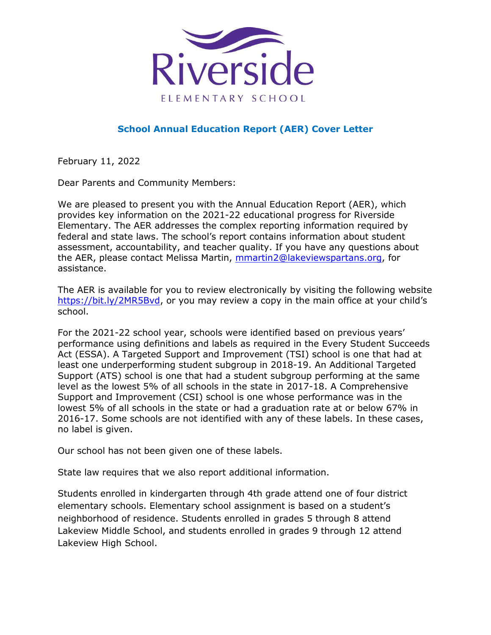

## **School Annual Education Report (AER) Cover Letter**

February 11, 2022

Dear Parents and Community Members:

We are pleased to present you with the Annual Education Report (AER), which provides key information on the 2021-22 educational progress for Riverside Elementary. The AER addresses the complex reporting information required by federal and state laws. The school's report contains information about student assessment, accountability, and teacher quality. If you have any questions about the AER, please contact Melissa Martin, [mmartin2@lakeviewspartans.org,](mailto:mmartin2@lakeviewspartans.org) for assistance.

The AER is available for you to review electronically by visiting the following website [https://bit.ly/2MR5Bvd,](https://bit.ly/2MR5Bvd) or you may review a copy in the main office at your child's school.

For the 2021-22 school year, schools were identified based on previous years' performance using definitions and labels as required in the Every Student Succeeds Act (ESSA). A Targeted Support and Improvement (TSI) school is one that had at least one underperforming student subgroup in 2018-19. An Additional Targeted Support (ATS) school is one that had a student subgroup performing at the same level as the lowest 5% of all schools in the state in 2017-18. A Comprehensive Support and Improvement (CSI) school is one whose performance was in the lowest 5% of all schools in the state or had a graduation rate at or below 67% in 2016-17. Some schools are not identified with any of these labels. In these cases, no label is given.

Our school has not been given one of these labels.

State law requires that we also report additional information.

Students enrolled in kindergarten through 4th grade attend one of four district elementary schools. Elementary school assignment is based on a student's neighborhood of residence. Students enrolled in grades 5 through 8 attend Lakeview Middle School, and students enrolled in grades 9 through 12 attend Lakeview High School.